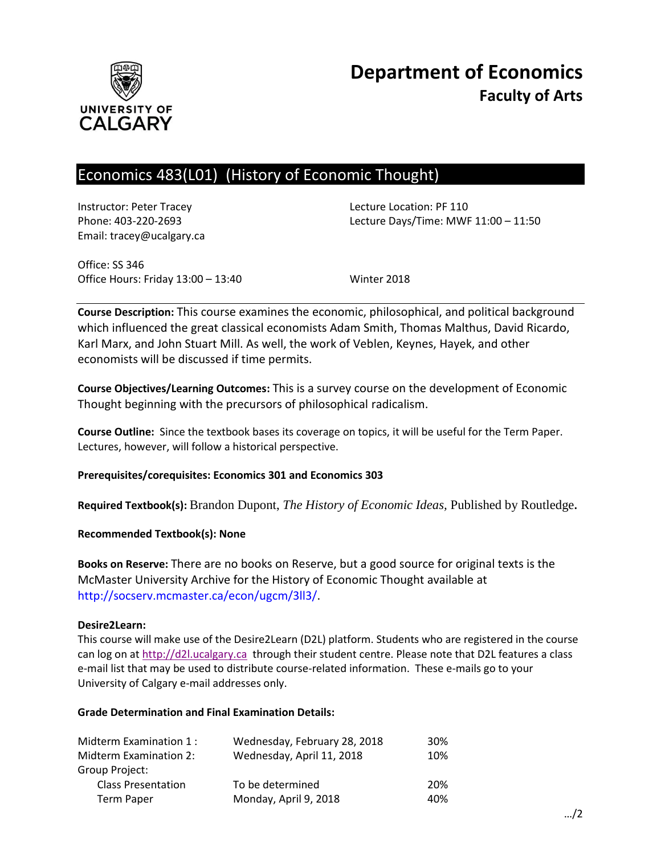

# Economics 483(L01) (History of Economic Thought)

Instructor: Peter Tracey Lecture Location: PF 110 Email: tracey@ucalgary.ca

Phone: 403-220-2693 Lecture Days/Time: MWF 11:00 – 11:50

Office: SS 346 Office Hours: Friday 13:00 – 13:40 Winter 2018

**Course Description:** This course examines the economic, philosophical, and political background which influenced the great classical economists Adam Smith, Thomas Malthus, David Ricardo, Karl Marx, and John Stuart Mill. As well, the work of Veblen, Keynes, Hayek, and other economists will be discussed if time permits.

**Course Objectives/Learning Outcomes:** This is a survey course on the development of Economic Thought beginning with the precursors of philosophical radicalism.

**Course Outline:** Since the textbook bases its coverage on topics, it will be useful for the Term Paper. Lectures, however, will follow a historical perspective.

**Prerequisites/corequisites: Economics 301 and Economics 303**

**Required Textbook(s):** Brandon Dupont, *The History of Economic Ideas,* Published by Routledge**.** 

**Recommended Textbook(s): None**

**Books on Reserve:** There are no books on Reserve, but a good source for original texts is the McMaster University Archive for the History of Economic Thought available at http://socserv.mcmaster.ca/econ/ugcm/3ll3/.

## **Desire2Learn:**

This course will make use of the Desire2Learn (D2L) platform. Students who are registered in the course can log on a[t http://d2l.ucalgary.ca](http://d2l.ucalgary.ca/) through their student centre. Please note that D2L features a class e-mail list that may be used to distribute course-related information. These e-mails go to your University of Calgary e-mail addresses only.

## **Grade Determination and Final Examination Details:**

| Midterm Examination 1:    | Wednesday, February 28, 2018 | 30% |
|---------------------------|------------------------------|-----|
| Midterm Examination 2:    | Wednesday, April 11, 2018    | 10% |
| Group Project:            |                              |     |
| <b>Class Presentation</b> | To be determined             | 20% |
| <b>Term Paper</b>         | Monday, April 9, 2018        | 40% |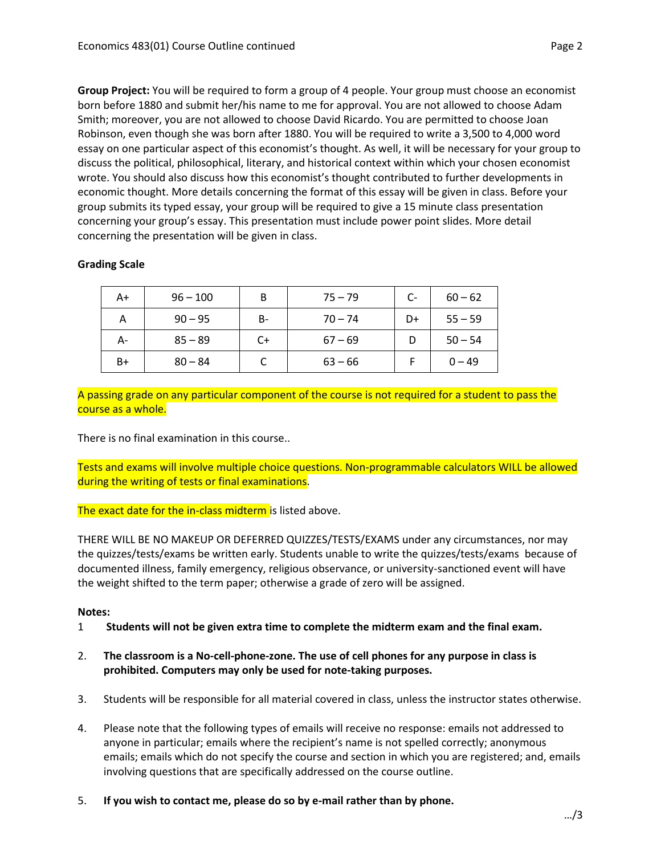**Group Project:** You will be required to form a group of 4 people. Your group must choose an economist born before 1880 and submit her/his name to me for approval. You are not allowed to choose Adam Smith; moreover, you are not allowed to choose David Ricardo. You are permitted to choose Joan Robinson, even though she was born after 1880. You will be required to write a 3,500 to 4,000 word essay on one particular aspect of this economist's thought. As well, it will be necessary for your group to discuss the political, philosophical, literary, and historical context within which your chosen economist wrote. You should also discuss how this economist's thought contributed to further developments in economic thought. More details concerning the format of this essay will be given in class. Before your group submits its typed essay, your group will be required to give a 15 minute class presentation concerning your group's essay. This presentation must include power point slides. More detail concerning the presentation will be given in class.

# **Grading Scale**

| A+   | $96 - 100$ | B         | $75 - 79$ | $C-$ | $60 - 62$ |
|------|------------|-----------|-----------|------|-----------|
| А    | $90 - 95$  | <b>B-</b> | $70 - 74$ | D+   | $55 - 59$ |
| А-   | $85 - 89$  | $C+$      | $67 - 69$ |      | $50 - 54$ |
| $B+$ | $80 - 84$  |           | $63 - 66$ |      | $0 - 49$  |

A passing grade on any particular component of the course is not required for a student to pass the course as a whole.

There is no final examination in this course..

Tests and exams will involve multiple choice questions. Non-programmable calculators WILL be allowed during the writing of tests or final examinations.

The exact date for the in-class midterm is listed above.

THERE WILL BE NO MAKEUP OR DEFERRED QUIZZES/TESTS/EXAMS under any circumstances, nor may the quizzes/tests/exams be written early. Students unable to write the quizzes/tests/exams because of documented illness, family emergency, religious observance, or university-sanctioned event will have the weight shifted to the term paper; otherwise a grade of zero will be assigned.

## **Notes:**

- 1 **Students will not be given extra time to complete the midterm exam and the final exam.**
- 2. **The classroom is a No-cell-phone-zone. The use of cell phones for any purpose in class is prohibited. Computers may only be used for note-taking purposes.**
- 3. Students will be responsible for all material covered in class, unless the instructor states otherwise.
- 4. Please note that the following types of emails will receive no response: emails not addressed to anyone in particular; emails where the recipient's name is not spelled correctly; anonymous emails; emails which do not specify the course and section in which you are registered; and, emails involving questions that are specifically addressed on the course outline.
- 5. **If you wish to contact me, please do so by e-mail rather than by phone.**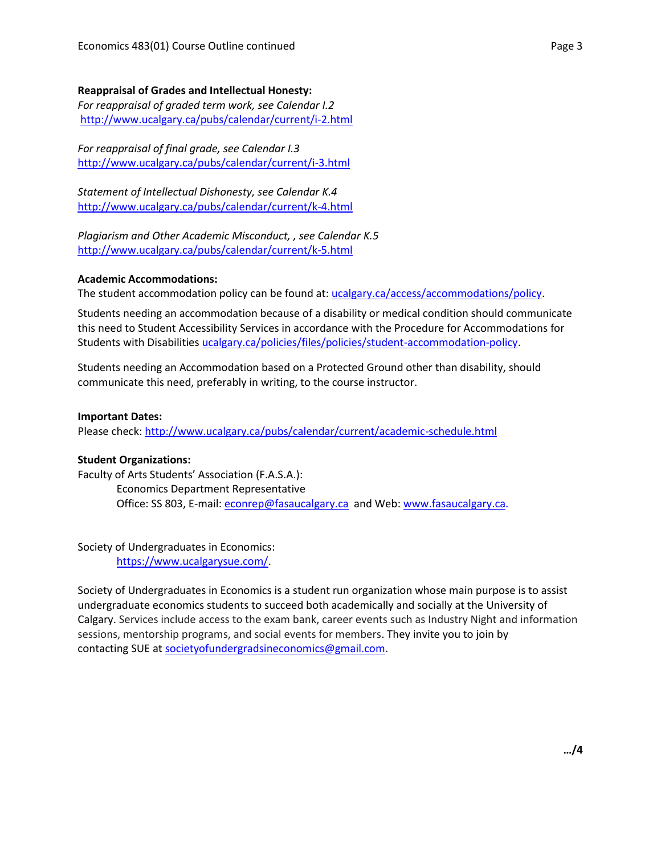#### **Reappraisal of Grades and Intellectual Honesty:**

*For reappraisal of graded term work, see Calendar I.2* <http://www.ucalgary.ca/pubs/calendar/current/i-2.html>

*For reappraisal of final grade, see Calendar I.3* <http://www.ucalgary.ca/pubs/calendar/current/i-3.html>

*Statement of Intellectual Dishonesty, see Calendar K.4* <http://www.ucalgary.ca/pubs/calendar/current/k-4.html>

*Plagiarism and Other Academic Misconduct, , see Calendar K.5* <http://www.ucalgary.ca/pubs/calendar/current/k-5.html>

#### **Academic Accommodations:**

The student accommodation policy can be found at: [ucalgary.ca/access/accommodations/policy.](http://www.ucalgary.ca/access/accommodations/policy)

Students needing an accommodation because of a disability or medical condition should communicate this need to Student Accessibility Services in accordance with the Procedure for Accommodations for Students with Disabilities [ucalgary.ca/policies/files/policies/student-accommodation-policy.](http://www.ucalgary.ca/policies/files/policies/student-accommodation-policy.pdf)

Students needing an Accommodation based on a Protected Ground other than disability, should communicate this need, preferably in writing, to the course instructor.

#### **Important Dates:**

Please check:<http://www.ucalgary.ca/pubs/calendar/current/academic-schedule.html>

#### **Student Organizations:**

Faculty of Arts Students' Association (F.A.S.A.): Economics Department Representative Office: SS 803, E-mail: [econrep@fasaucalgary.ca](mailto:econrep@fasaucalgary.ca) and Web[: www.fasaucalgary.ca.](http://www.fasaucalgary.ca/)

Society of Undergraduates in Economics: [https://www.ucalgarysue.com/.](https://www.ucalgarysue.com/)

Society of Undergraduates in Economics is a student run organization whose main purpose is to assist undergraduate economics students to succeed both academically and socially at the University of Calgary. Services include access to the exam bank, career events such as Industry Night and information sessions, mentorship programs, and social events for members. They invite you to join by contacting SUE at [societyofundergradsineconomics@gmail.com.](mailto:societyofundergradsineconomics@gmail.com)